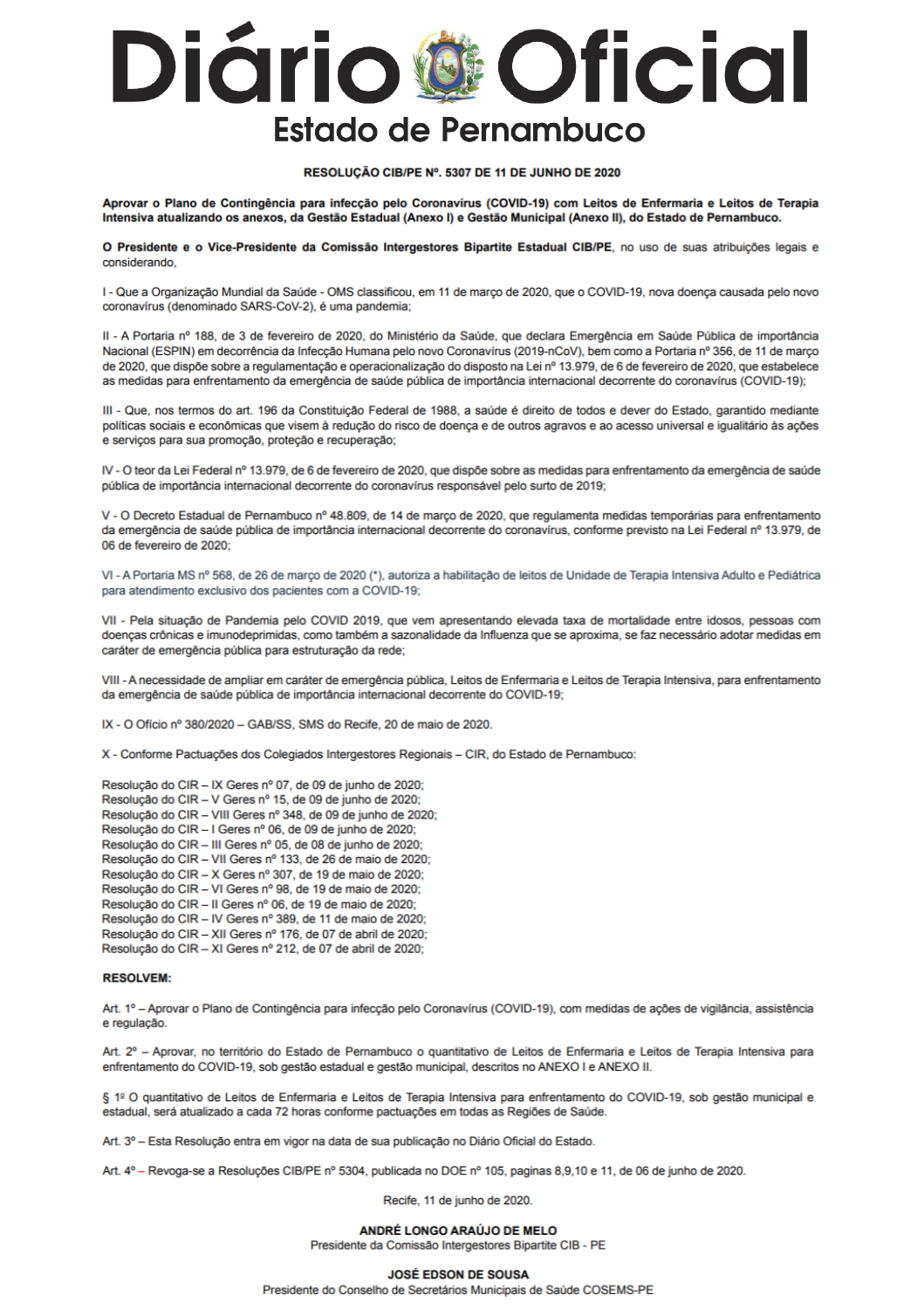# **Diário @ Oficial Estado de Pernambuco**

# RESOLUCÃO CIB/PE Nº. 5307 DE 11 DE JUNHO DE 2020

Aprovar o Plano de Contingência para infecção pelo Coronavírus (COVID-19) com Leitos de Enfermaria e Leitos de Terapia Intensiva atualizando os anexos, da Gestão Estadual (Anexo I) e Gestão Municipal (Anexo II), do Estado de Pernambuco.

O Presidente e o Vice-Presidente da Comissão Intergestores Bipartite Estadual CIB/PE, no uso de suas atribuições legais e considerando.

I - Que a Organização Mundial da Saúde - OMS classificou, em 11 de março de 2020, que o COVID-19, nova doença causada pelo novo coronavírus (denominado SARS-CoV-2), é uma pandemia;

II - A Portaria nº 188, de 3 de fevereiro de 2020, do Ministério da Saúde, que declara Emergência em Saúde Pública de importância Nacional (ESPIN) em decorrência da Infecção Humana pelo novo Coronavírus (2019-nCoV), bem como a Portaria nº 356, de 11 de março de 2020, que dispõe sobre a regulamentação e operacionalização do disposto na Lei nº 13.979, de 6 de fevereiro de 2020, que estabelece as medidas para enfrentamento da emergência de saúde pública de importância internacional decorrente do coronavírus (COVID-19);

III - Que, nos termos do art. 196 da Constituição Federal de 1988, a saúde é direito de todos e dever do Estado, garantido mediante políticas sociais e econômicas que visem à redução do risco de doença e de outros agravos e ao acesso universal e igualitário às ações e serviços para sua promoção, proteção e recuperação;

IV - O teor da Lei Federal nº 13.979, de 6 de fevereiro de 2020, que dispõe sobre as medidas para enfrentamento da emergência de saúde pública de importância internacional decorrente do coronavírus responsável pelo surto de 2019:

V - O Decreto Estadual de Pernambuco nº 48.809, de 14 de marco de 2020, que regulamenta medidas temporárias para enfrentamento da emergência de saúde pública de importância internacional decorrente do coronavírus, conforme previsto na Lei Federal nº 13.979, de 06 de fevereiro de 2020:

VI - A Portaria MS nº 568, de 26 de março de 2020 (\*), autoriza a habilitação de leitos de Unidade de Terapia Intensiva Adulto e Pediátrica para atendimento exclusivo dos pacientes com a COVID-19;

VII - Pela situação de Pandemia pelo COVID 2019, que vem apresentando elevada taxa de mortalidade entre idosos, pessoas com doenças crônicas e imunodeprimidas, como também a sazonalidade da Influenza que se aproxima, se faz necessário adotar medidas em caráter de emergência pública para estruturação da rede;

VIII - A necessidade de ampliar em caráter de emergência pública, Leitos de Enfermaria e Leitos de Terapia Intensiva, para enfrentamento da emergência de saúde pública de importância internacional decorrente do COVID-19;

IX - O Ofício nº 380/2020 - GAB/SS, SMS do Recife, 20 de maio de 2020.

X - Conforme Pactuações dos Colegiados Intergestores Regionais - CIR, do Estado de Pernambuco:

Resolução do CIR - IX Geres nº 07, de 09 de junho de 2020;

- Resolução do CIR V Geres nº 15, de 09 de junho de 2020;
- Resolução do CIR VIII Geres nº 348, de 09 de junho de 2020;
- Resolução do CIR I Geres nº 06, de 09 de junho de 2020;

Resolução do CIR - III Geres nº 05, de 08 de junho de 2020;

Resolução do CIR - VII Geres nº 133, de 26 de maio de 2020;

Resolução do CIR - X Geres nº 307, de 19 de maio de 2020;

Resolução do CIR - VI Geres nº 98, de 19 de maio de 2020;

Resolução do CIR - Il Geres nº 06, de 19 de maio de 2020;

Resolução do CIR - IV Geres nº 389, de 11 de maio de 2020; Resolução do CIR - XII Geres nº 176, de 07 de abril de 2020;

Resolução do CIR - XI Geres nº 212, de 07 de abril de 2020;

## **RESOLVEM:**

Art. 1º - Aprovar o Plano de Contingência para infecção pelo Coronavírus (COVID-19), com medidas de ações de vigilância, assistência e regulação.

Art. 2º - Aprovar, no território do Estado de Pernambuco o quantitativo de Leitos de Enfermaria e Leitos de Terapia Intensiva para enfrentamento do COVID-19, sob gestão estadual e gestão municipal, descritos no ANEXO I e ANEXO II.

§ 1º O quantitativo de Leitos de Enfermaria e Leitos de Terapia Intensiva para enfrentamento do COVID-19, sob gestão municipal e estadual, será atualizado a cada 72 horas conforme pactuações em todas as Regiões de Saúde.

Art. 3º - Esta Resolução entra em vigor na data de sua publicação no Diário Oficial do Estado.

Art. 4° - Revoga-se a Resoluções CIB/PE nº 5304, publicada no DOE nº 105, paginas 8,9,10 e 11, de 06 de junho de 2020.

Recife, 11 de junho de 2020.

ANDRÉ LONGO ARAÚJO DE MELO Presidente da Comissão Intergestores Bipartite CIB - PE

**JOSÉ EDSON DE SOUSA** 

Presidente do Conselho de Secretários Municipais de Saúde COSEMS-PE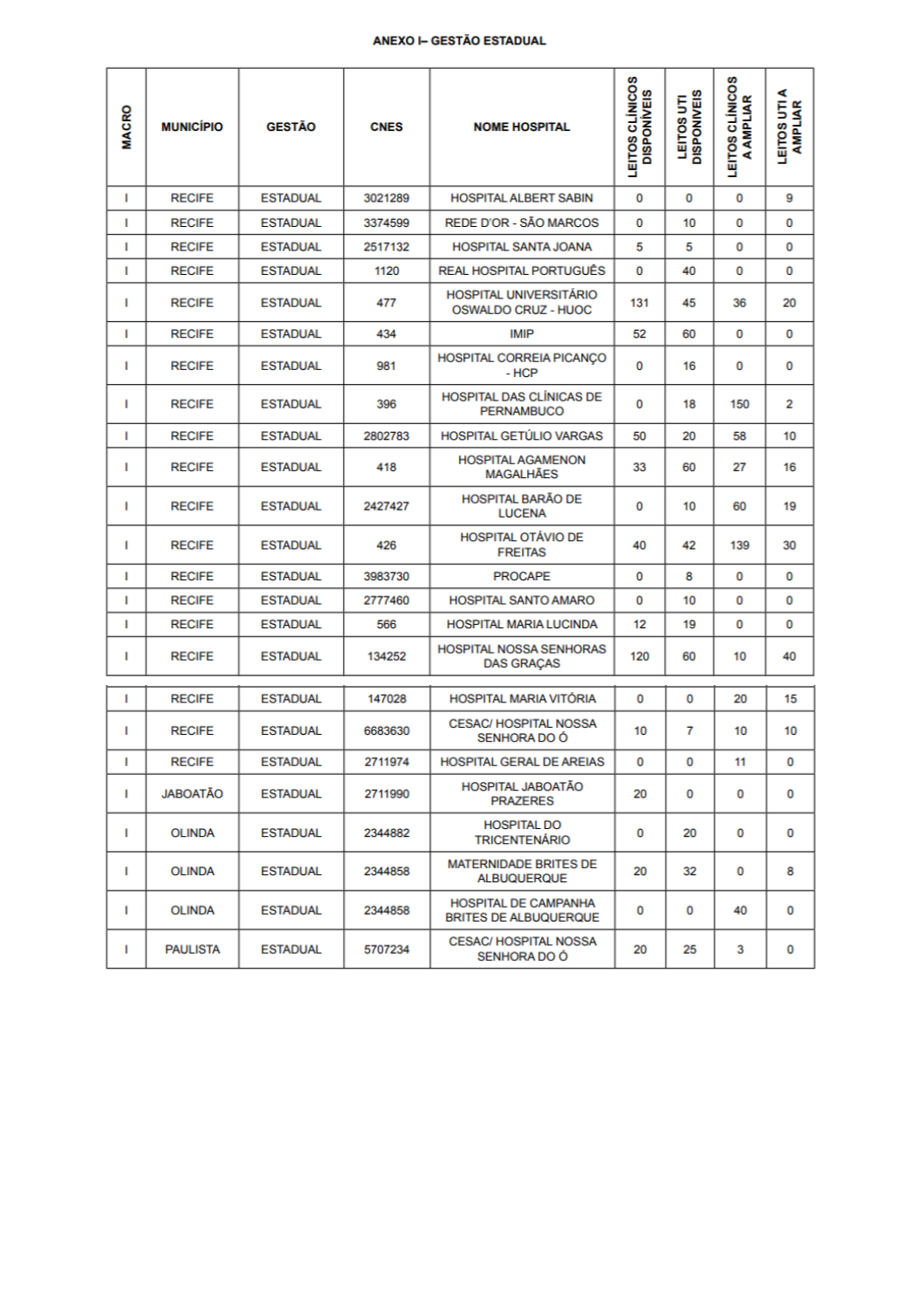# ANEXO I- GESTÃO ESTADUAL

| <b>MACRO</b> | <b>MUNICÍPIO</b> | <b>GESTÃO</b>   | <b>CNES</b> | <b>NOME HOSPITAL</b>                                        | w<br>LEITOS CLÍNICO<br><b>DISPONÍVEIS</b> | LEITOS UTI<br>DISPONIVEIS | S<br><b>LEITOS CLÍNICOS<br/>A AMPLIAR</b> | ⋖<br>LEITOS UTI A<br>AMPLIAR |
|--------------|------------------|-----------------|-------------|-------------------------------------------------------------|-------------------------------------------|---------------------------|-------------------------------------------|------------------------------|
| T            | <b>RECIFE</b>    | <b>ESTADUAL</b> | 3021289     | <b>HOSPITAL ALBERT SABIN</b>                                | 0                                         | 0                         | 0                                         | 9                            |
| Т            | <b>RECIFE</b>    | <b>ESTADUAL</b> | 3374599     | REDE D'OR - SÃO MARCOS                                      | 0                                         | 10                        | 0                                         | 0                            |
| т            | <b>RECIFE</b>    | <b>ESTADUAL</b> | 2517132     | <b>HOSPITAL SANTA JOANA</b>                                 | 5                                         | 5                         | 0                                         | 0                            |
| т            | <b>RECIFE</b>    | <b>ESTADUAL</b> | 1120        | <b>REAL HOSPITAL PORTUGUÊS</b>                              | 0                                         | 40                        | 0                                         | 0                            |
| т            | <b>RECIFE</b>    | <b>ESTADUAL</b> | 477         | <b>HOSPITAL UNIVERSITÁRIO</b><br><b>OSWALDO CRUZ - HUOC</b> | 131                                       | 45                        | 36                                        | 20                           |
| т            | <b>RECIFE</b>    | <b>ESTADUAL</b> | 434         | <b>IMIP</b>                                                 | 52                                        | 60                        | 0                                         | 0                            |
| т            | <b>RECIFE</b>    | <b>ESTADUAL</b> | 981         | HOSPITAL CORREIA PICANÇO<br>- HCP                           | 0                                         | 16                        | 0                                         | 0                            |
| т            | <b>RECIFE</b>    | <b>ESTADUAL</b> | 396         | <b>HOSPITAL DAS CLINICAS DE</b><br><b>PERNAMBUCO</b>        | 0                                         | 18                        | 150                                       | 2                            |
| L            | <b>RECIFE</b>    | <b>ESTADUAL</b> | 2802783     | <b>HOSPITAL GETÚLIO VARGAS</b>                              | 50                                        | 20                        | 58                                        | 10                           |
| т            | <b>RECIFE</b>    | <b>ESTADUAL</b> | 418         | <b>HOSPITAL AGAMENON</b><br><b>MAGALHÃES</b>                | 33                                        | 60                        | 27                                        | 16                           |
| т            | <b>RECIFE</b>    | <b>ESTADUAL</b> | 2427427     | <b>HOSPITAL BARÃO DE</b><br><b>LUCENA</b>                   | 0                                         | 10                        | 60                                        | 19                           |
| т            | <b>RECIFE</b>    | <b>ESTADUAL</b> | 426         | <b>HOSPITAL OTÁVIO DE</b><br><b>FREITAS</b>                 | 40                                        | 42                        | 139                                       | 30                           |
| т            | <b>RECIFE</b>    | <b>ESTADUAL</b> | 3983730     | <b>PROCAPE</b>                                              | 0                                         | 8                         | 0                                         | 0                            |
| т            | <b>RECIFE</b>    | <b>ESTADUAL</b> | 2777460     | <b>HOSPITAL SANTO AMARO</b>                                 | 0                                         | 10                        | 0                                         | 0                            |
| т            | <b>RECIFE</b>    | <b>ESTADUAL</b> | 566         | <b>HOSPITAL MARIA LUCINDA</b>                               | 12                                        | 19                        | 0                                         | 0                            |
| т            | <b>RECIFE</b>    | <b>ESTADUAL</b> | 134252      | <b>HOSPITAL NOSSA SENHORAS</b><br><b>DAS GRAÇAS</b>         | 120                                       | 60                        | 10                                        | 40                           |
| L            | <b>RECIFE</b>    | <b>ESTADUAL</b> | 147028      | <b>HOSPITAL MARIA VITÓRIA</b>                               | 0                                         | 0                         | 20                                        | 15                           |
| т            | <b>RECIFE</b>    | <b>ESTADUAL</b> | 6683630     | <b>CESAC/ HOSPITAL NOSSA</b><br>SENHORA DO Ó                | 10                                        | 7                         | 10                                        | 10                           |
| L            | <b>RECIFE</b>    | ESTADUAL        | 2711974     | <b>HOSPITAL GERAL DE AREIAS</b>                             | 0                                         | 0                         | 11                                        | 0                            |
| г            | <b>OATAO</b>     | <b>ESTADUAL</b> | 2711990     | HOSPITAL JABOATÃO<br><b>PRAZERES</b>                        | 20                                        | 0                         | 0                                         | 0                            |
| г            | <b>OLINDA</b>    | <b>ESTADUAL</b> | 2344882     | <b>HOSPITAL DO</b><br><b>TRICENTENÁRIO</b>                  | 0                                         | 20                        | 0                                         | 0                            |
| г            | <b>OLINDA</b>    | <b>ESTADUAL</b> | 2344858     | <b>MATERNIDADE BRITES DE</b><br><b>ALBUQUERQUE</b>          | 20                                        | 32                        | 0                                         | 8                            |
| L            | <b>OLINDA</b>    | <b>ESTADUAL</b> | 2344858     | <b>HOSPITAL DE CAMPANHA</b><br><b>BRITES DE ALBUQUERQUE</b> | 0                                         | 0                         | 40                                        | 0                            |
| г            | <b>PAULISTA</b>  | <b>ESTADUAL</b> | 5707234     | <b>CESAC/ HOSPITAL NOSSA</b><br>SENHORA DO Ó                | 20                                        | 25                        | 3                                         | 0                            |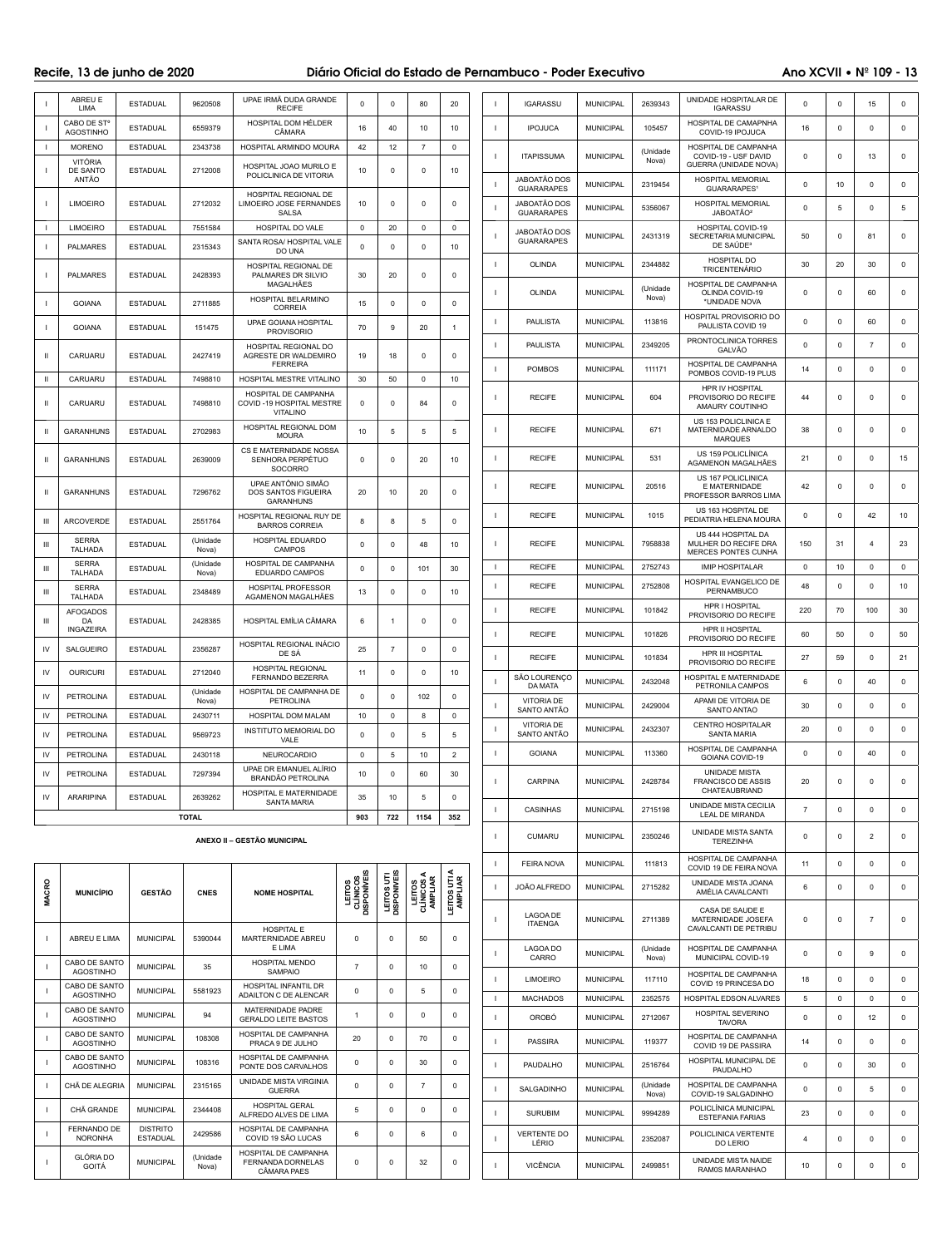# Recife, 13 de junho de 2020 **Diário Oficial do Estado de Pernambuco** - Poder Executivo Ano XCVII • Nº 109 - 13

|                | <b>ABREU E</b><br><b>LIMA</b>               | <b>ESTADUAL</b>                    | 9620508                 | UPAE IRMÃ DUDA GRANDE<br><b>RECIFE</b>                               | $\mathbf 0$                    | $\mathbf 0$               | 80                              | 20                     |                | <b>IGARASSU</b>                   | <b>MUNICIPAL</b> | 2639343          | UNIDADE HOSPITALAR DE<br><b>IGARASSU</b>                                         | $\mathbf 0$    | $\mathbf 0$ | 15             | 0            |
|----------------|---------------------------------------------|------------------------------------|-------------------------|----------------------------------------------------------------------|--------------------------------|---------------------------|---------------------------------|------------------------|----------------|-----------------------------------|------------------|------------------|----------------------------------------------------------------------------------|----------------|-------------|----------------|--------------|
|                | CABO DE ST <sup>o</sup><br><b>AGOSTINHO</b> | <b>ESTADUAL</b>                    | 6559379                 | HOSPITAL DOM HÉLDER<br>CÂMARA                                        | 16                             | 40                        | 10                              | 10                     |                | <b>IPOJUCA</b>                    | <b>MUNICIPAL</b> | 105457           | HOSPITAL DE CAMAPNHA<br>COVID-19 IPOJUCA                                         | 16             | $\mathbf 0$ | 0              | 0            |
| $\mathbf{I}$   | <b>MORENO</b>                               | <b>ESTADUAL</b>                    | 2343738                 | HOSPITAL ARMINDO MOURA                                               | 42                             | 12                        | $\overline{7}$                  | $\mathbf 0$            | $\blacksquare$ | <b>ITAPISSUMA</b>                 | <b>MUNICIPAL</b> | (Unidade         | HOSPITAL DE CAMPANHA<br>COVID-19 - USF DAVID                                     | $\mathbf 0$    | $\mathbf 0$ | 13             | $\mathbf 0$  |
|                | VITÓRIA<br>DE SANTO<br>ANTÃO                | <b>ESTADUAL</b>                    | 2712008                 | HOSPITAL JOAO MURILO E<br>POLICLINICA DE VITORIA                     | 10                             | $^{\circ}$                | $\mathbf 0$                     | 10                     |                | <b>JABOATÃO DOS</b>               |                  | Nova)            | GUERRA (UNIDADE NOVA)<br><b>HOSPITAL MEMORIAL</b>                                |                |             |                |              |
|                |                                             |                                    |                         | HOSPITAL REGIONAL DE                                                 |                                |                           |                                 |                        | $\blacksquare$ | <b>GUARARAPES</b>                 | <b>MUNICIPAL</b> | 2319454          | GUARARAPES <sup>1</sup>                                                          | $\mathbf 0$    | 10          | $\Omega$       | 0            |
|                | <b>LIMOEIRO</b>                             | <b>ESTADUAL</b>                    | 2712032                 | LIMOEIRO JOSE FERNANDES<br>SALSA                                     | 10                             | $\Omega$                  | 0                               | $\Omega$               |                | JABOATÃO DOS<br><b>GUARARAPES</b> | <b>MUNICIPAL</b> | 5356067          | <b>HOSPITAL MEMORIAL</b><br>JABOATÃO <sup>2</sup>                                | $\Omega$       | 5           | $\Omega$       | 5            |
|                | <b>LIMOEIRO</b><br><b>PALMARES</b>          | <b>ESTADUAL</b><br><b>ESTADUAL</b> | 7551584<br>2315343      | HOSPITAL DO VALE<br>SANTA ROSA/ HOSPITAL VALE                        | $\mathbf 0$<br>0               | 20<br>$\Omega$            | 0<br>0                          | 0<br>10                |                | JABOATÃO DOS<br><b>GUARARAPES</b> | <b>MUNICIPAL</b> | 2431319          | <b>HOSPITAL COVID-19</b><br><b>SECRETARIA MUNICIPAL</b><br>DE SAÚDE <sup>3</sup> | 50             | $\mathbf 0$ | 81             | 0            |
|                |                                             |                                    |                         | DO UNA<br>HOSPITAL REGIONAL DE                                       |                                |                           |                                 |                        |                | OLINDA                            | <b>MUNICIPAL</b> | 2344882          | <b>HOSPITAL DO</b><br><b>TRICENTENÁRIO</b>                                       | 30             | 20          | 30             | 0            |
|                | <b>PALMARES</b>                             | <b>ESTADUAL</b>                    | 2428393                 | PALMARES DR SILVIO<br>MAGALHÃES                                      | 30                             | 20                        | $\mathbf 0$                     | $\mathbf 0$            | - 1            |                                   | <b>MUNICIPAL</b> | (Unidade         | HOSPITAL DE CAMPANHA                                                             | $\mathbf 0$    | $\mathbf 0$ | 60             | $\mathbf 0$  |
|                | <b>GOIANA</b>                               | <b>ESTADUAL</b>                    | 2711885                 | HOSPITAL BELARMINO<br><b>CORREIA</b>                                 | 15                             | $\mathbf 0$               | $\mathbf 0$                     | $\Omega$               |                | OLINDA                            |                  | Nova)            | OLINDA COVID-19<br>*UNIDADE NOVA                                                 |                |             |                |              |
|                | <b>GOIANA</b>                               | <b>ESTADUAL</b>                    | 151475                  | <b>UPAE GOIANA HOSPITAL</b><br><b>PROVISORIO</b>                     | 70                             | 9                         | 20                              | -1                     |                | <b>PAULISTA</b>                   | <b>MUNICIPAL</b> | 113816           | <b>HOSPITAL PROVISORIO DO</b><br>PAULISTA COVID 19                               | 0              | $\mathbf 0$ | 60             | $\mathbf 0$  |
| Ш              | CARUARU                                     | <b>ESTADUAL</b>                    | 2427419                 | HOSPITAL REGIONAL DO<br>AGRESTE DR WALDEMIRO                         | 19                             | 18                        | $\mathbf 0$                     | 0                      |                | <b>PAULISTA</b>                   | <b>MUNICIPAL</b> | 2349205          | PRONTOCLINICA TORRES<br>GALVÃO                                                   | $\mathbf{0}$   | $^{\circ}$  | $\overline{7}$ | 0            |
| Ш              | CARUARU                                     | <b>ESTADUAL</b>                    | 7498810                 | <b>FERREIRA</b><br>HOSPITAL MESTRE VITALINO                          | 30                             | 50                        | $\mathbf 0$                     | 10                     |                | <b>POMBOS</b>                     | <b>MUNICIPAL</b> | 111171           | HOSPITAL DE CAMPANHA<br>POMBOS COVID-19 PLUS                                     | 14             | 0           | $\Omega$       | 0            |
| Ш              | CARUARU                                     | <b>ESTADUAL</b>                    | 7498810                 | HOSPITAL DE CAMPANHA<br>COVID-19 HOSPITAL MESTRE                     | $\mathbf 0$                    | 0                         | 84                              | $\mathbf 0$            |                | <b>RECIFE</b>                     | <b>MUNICIPAL</b> | 604              | HPR IV HOSPITAL<br>PROVISORIO DO RECIFE<br>AMAURY COUTINHO                       | 44             | $\mathbf 0$ | 0              | 0            |
| -11            | <b>GARANHUNS</b>                            | <b>ESTADUAL</b>                    | 2702983                 | <b>VITALINO</b><br>HOSPITAL REGIONAL DOM                             | 10                             | 5                         | 5                               | 5                      |                | <b>RECIFE</b>                     | <b>MUNICIPAL</b> | 671              | US 153 POLICLINICA E<br>MATERNIDADE ARNALDO                                      | 38             | $\mathbf 0$ | $\Omega$       | 0            |
|                |                                             |                                    |                         | <b>MOURA</b><br>CS E MATERNIDADE NOSSA                               |                                |                           |                                 |                        |                |                                   |                  |                  | <b>MARQUES</b><br>US 159 POLICLÍNICA                                             |                |             |                |              |
| $\mathbf{H}$   | <b>GARANHUNS</b>                            | <b>ESTADUAL</b>                    | 2639009                 | SENHORA PERPÉTUO<br><b>SOCORRO</b>                                   | $\mathbf 0$                    | $\mathbf 0$               | 20                              | 10                     | -1             | <b>RECIFE</b>                     | <b>MUNICIPAL</b> | 531              | AGAMENON MAGALHÃES<br>US 167 POLICLINICA                                         | 21             | $\mathbf 0$ | $\Omega$       | 15           |
| -11            | <b>GARANHUNS</b>                            | <b>ESTADUAL</b>                    | 7296762                 | UPAE ANTÔNIO SIMÃO<br><b>DOS SANTOS FIGUEIRA</b><br><b>GARANHUNS</b> | 20                             | 10                        | 20                              | $^{\circ}$             | -1             | <b>RECIFE</b>                     | <b>MUNICIPAL</b> | 20516            | E MATERNIDADE<br>PROFESSOR BARROS LIMA                                           | 42             | $\mathbf 0$ | $\Omega$       | $\mathbf 0$  |
| Ш              | ARCOVERDE                                   | <b>ESTADUAL</b>                    | 2551764                 | HOSPITAL REGIONAL RUY DE<br><b>BARROS CORREIA</b>                    | 8                              | 8                         | 5                               | $^{\circ}$             |                | <b>RECIFE</b>                     | <b>MUNICIPAL</b> | 1015             | US 163 HOSPITAL DE<br>PEDIATRIA HELENA MOURA                                     | $\mathbf{0}$   | 0           | 42             | 10           |
| $\mathbf{m}$   | <b>SERRA</b><br><b>TALHADA</b>              | <b>ESTADUAL</b>                    | (Unidade<br>Nova)       | HOSPITAL EDUARDO<br><b>CAMPOS</b>                                    | $\mathbf 0$                    | $\mathbf 0$               | 48                              | 10                     |                | <b>RECIFE</b>                     | <b>MUNICIPAL</b> | 7958838          | US 444 HOSPITAL DA<br>MULHER DO RECIFE DRA                                       | 150            | 31          | 4              | 23           |
| Ш              | <b>SERRA</b><br><b>TALHADA</b>              | <b>ESTADUAL</b>                    | (Unidade<br>Nova)       | <b>HOSPITAL DE CAMPANHA</b><br><b>EDUARDO CAMPOS</b>                 | 0                              | $\Omega$                  | 101                             | 30                     | $\blacksquare$ | <b>RECIFE</b>                     | <b>MUNICIPAL</b> | 2752743          | <b>MERCES PONTES CUNHA</b><br><b>IMIP HOSPITALAR</b>                             | $\mathbf{0}$   | 10          | $\Omega$       | $\mathbf 0$  |
| Ш              | <b>SERRA</b>                                | <b>ESTADUAL</b>                    | 2348489                 | <b>HOSPITAL PROFESSOR</b>                                            | 13                             | $\Omega$                  | 0                               | 10                     |                | <b>RECIFE</b>                     | <b>MUNICIPAL</b> | 2752808          | HOSPITAL EVANGELICO DE<br>PERNAMBUCO                                             | 48             | 0           | $\Omega$       | 10           |
|                | <b>TALHADA</b><br><b>AFOGADOS</b>           |                                    |                         | AGAMENON MAGALHÄES                                                   |                                |                           |                                 |                        |                | <b>RECIFE</b>                     | <b>MUNICIPAL</b> | 101842           | <b>HPR I HOSPITAL</b><br>PROVISORIO DO RECIFE                                    | 220            | 70          | 100            | 30           |
| $\mathbf{III}$ | DA<br><b>INGAZEIRA</b>                      | ESTADUAL                           | 2428385                 | HOSPITAL EMÍLIA CÂMARA                                               |                                |                           | $\mathbf 0$                     | 0                      |                | <b>RECIFE</b>                     | <b>MUNICIPAL</b> | 101826           | <b>HPR II HOSPITAL</b><br>PROVISORIO DO RECIFE                                   | 60             | 50          | $\Omega$       | 50           |
| IV             | <b>SALGUEIRO</b>                            | <b>ESTADUAL</b>                    | 2356287                 | HOSPITAL REGIONAL INÁCIO<br>DE SÁ                                    | 25                             | $\overline{7}$            | $\mathbf 0$                     | $\mathbf 0$            | -1             | <b>RECIFE</b>                     | <b>MUNICIPAL</b> | 101834           | HPR III HOSPITAL<br>PROVISORIO DO RECIFE                                         | 27             | 59          | $\mathbf{0}$   | 21           |
| IV             | <b>OURICURI</b>                             | <b>ESTADUAL</b>                    | 2712040                 | <b>HOSPITAL REGIONAL</b><br><b>FERNANDO BEZERRA</b>                  | 11                             | $^{\circ}$                | $^{\circ}$                      | 10                     |                | SÃO LOURENÇO<br>DA MATA           | <b>MUNICIPAL</b> | 2432048          | <b>HOSPITAL E MATERNIDADE</b><br>PETRONILA CAMPOS                                | 6              | $\mathbf 0$ | 40             | 0            |
| IV             | <b>PETROLINA</b>                            | <b>ESTADUAL</b>                    | (Unidade<br>Nova)       | HOSPITAL DE CAMPANHA DE<br><b>PETROLINA</b>                          | $\Omega$                       | $^{\circ}$                | 102                             | 0                      |                | <b>VITORIA DE</b><br>SANTO ANTÃO  | <b>MUNICIPAL</b> | 2429004          | APAMI DE VITORIA DE<br>SANTO ANTAO                                               | 30             | $\mathbf 0$ | $\Omega$       | 0            |
| IV             | <b>PETROLINA</b>                            | <b>ESTADUAL</b>                    | 2430711                 | HOSPITAL DOM MALAM                                                   | 10                             | $\mathbf 0$               | 8                               | $\mathbf 0$            |                | <b>VITORIA DE</b>                 | <b>MUNICIPAL</b> | 2432307          | <b>CENTRO HOSPITALAR</b>                                                         | 20             | $\mathbf 0$ | $\mathbf 0$    | 0            |
| IV             | <b>PETROLINA</b>                            | <b>ESTADUAL</b>                    | 9569723                 | <b>INSTITUTO MEMORIAL DO</b><br>VALE                                 | $\mathbf 0$                    | $^{\circ}$                | 5                               | 5                      |                | SANTO ANTÃO                       |                  |                  | <b>SANTA MARIA</b><br>HOSPITAL DE CAMPANHA                                       |                |             |                |              |
| IV             | <b>PETROLINA</b>                            | <b>ESTADUAL</b>                    | 2430118                 | NEUROCARDIO<br>UPAE DR EMANUEL ALÍRIO                                | $\mathbf 0$                    | 5                         | 10                              | $\overline{2}$         | $\blacksquare$ | <b>GOIANA</b>                     | <b>MUNICIPAL</b> | 113360           | GOIANA COVID-19                                                                  | $\mathbf 0$    | $\mathbf 0$ | 40             | 0            |
| IV             | <b>PETROLINA</b>                            | <b>ESTADUAL</b>                    | 7297394                 | <b>BRANDÃO PETROLINA</b><br>HOSPITAL E MATERNIDADE                   | 10                             | $^{\circ}$                | 60                              | 30                     | -1             | <b>CARPINA</b>                    | <b>MUNICIPAL</b> | 2428784          | <b>UNIDADE MISTA</b><br><b>FRANCISCO DE ASSIS</b><br>CHATEAUBRIAND               | 20             | $\mathbf 0$ | $\Omega$       | $\mathbf 0$  |
| IV             | <b>ARARIPINA</b>                            | <b>ESTADUAL</b>                    | 2639262<br><b>TOTAL</b> | <b>SANTA MARIA</b>                                                   | 35<br>903                      | 10<br>722                 | 5<br>1154                       | 0<br>352               |                | <b>CASINHAS</b>                   | <b>MUNICIPAL</b> | 2715198          | UNIDADE MISTA CECILIA<br><b>LEAL DE MIRANDA</b>                                  | $\overline{7}$ | $\mathbf 0$ | $\Omega$       | 0            |
|                |                                             |                                    |                         | ANEXO II - GESTÃO MUNICIPAL                                          |                                |                           |                                 |                        |                | <b>CUMARU</b>                     | <b>MUNICIPAL</b> | 2350246          | UNIDADE MISTA SANTA<br><b>TEREZINHA</b>                                          | $\mathbf 0$    | $\mathbf 0$ | $\overline{2}$ | 0            |
|                |                                             |                                    |                         |                                                                      |                                |                           |                                 |                        |                | <b>FEIRA NOVA</b>                 | <b>MUNICIPAL</b> | 111813           | HOSPITAL DE CAMPANHA                                                             | 11             | $\mathbf 0$ | $\Omega$       | 0            |
|                |                                             |                                    |                         |                                                                      | <b>CLÍNICOS</b><br>DISPONÍVEIS | LEITOS UTI<br>DISPONIVEIS |                                 |                        |                | JOÃO ALFREDO                      | <b>MUNICIPAL</b> | 2715282          | COVID 19 DE FEIRA NOVA<br>UNIDADE MISTA JOANA                                    | 6              | 0           | $\Omega$       | 0            |
| <b>MACRO</b>   | <b>MUNICÍPIO</b>                            | <b>GESTÃO</b>                      | <b>CNES</b>             | <b>NOME HOSPITAL</b>                                                 | LEITOS                         |                           | LEITOS<br>CLÍNICOS A<br>AMPLIAR | EITOS UTI A<br>AMPLIAR |                |                                   |                  |                  | AMÉLIA CAVALCANTI<br>CASA DE SAUDE E                                             |                |             |                |              |
|                |                                             |                                    |                         | <b>HOSPITAL E</b>                                                    |                                |                           |                                 |                        |                | LAGOA DE<br><b>ITAENGA</b>        | <b>MUNICIPAL</b> | 2711389          | MATERNIDADE JOSEFA<br>CAVALCANTI DE PETRIBU                                      | 0              | $\mathbf 0$ | $\overline{7}$ | 0            |
|                | ABREU E LIMA                                | <b>MUNICIPAL</b>                   | 5390044                 | MARTERNIDADE ABREU<br>E LIMA                                         | 0                              | $\mathbf 0$               | 50                              | $\mathbf 0$            |                | LAGOA DO                          | <b>MUNICIPAL</b> | (Unidade         | HOSPITAL DE CAMPANHA                                                             | $\mathbf 0$    | 0           | 9              | 0            |
|                | CABO DE SANTO<br><b>AGOSTINHO</b>           | <b>MUNICIPAL</b>                   | 35                      | <b>HOSPITAL MENDO</b><br><b>SAMPAIO</b>                              | $\overline{7}$                 | $^{\circ}$                | 10                              | $\mathbf 0$            |                | CARRO<br><b>LIMOEIRO</b>          | <b>MUNICIPAL</b> | Nova)<br>117110  | MUNICIPAL COVID-19<br>HOSPITAL DE CAMPANHA                                       | 18             | $\mathbf 0$ | $\Omega$       | 0            |
|                | CABO DE SANTO<br><b>AGOSTINHO</b>           | <b>MUNICIPAL</b>                   | 5581923                 | HOSPITAL INFANTIL DR<br>ADAILTON C DE ALENCAR                        | 0                              | $\mathbf 0$               | 5                               | $\mathbf 0$            | - 1            | <b>MACHADOS</b>                   | <b>MUNICIPAL</b> | 2352575          | COVID 19 PRINCESA DO<br><b>HOSPITAL EDSON ALVARES</b>                            | 5              | $\mathbf 0$ | $\Omega$       | 0            |
|                | CABO DE SANTO<br><b>AGOSTINHO</b>           | <b>MUNICIPAL</b>                   | 94                      | MATERNIDADE PADRE<br><b>GERALDO LEITE BASTOS</b>                     | $\mathbf{1}$                   | $^{\circ}$                | $^{\circ}$                      | $\Omega$               |                | <b>OROBÓ</b>                      | <b>MUNICIPAL</b> | 2712067          | <b>HOSPITAL SEVERINO</b><br><b>TAVORA</b>                                        | $\mathbf 0$    | $^{\circ}$  | 12             | 0            |
|                | CABO DE SANTO<br><b>AGOSTINHO</b>           | <b>MUNICIPAL</b>                   | 108308                  | <b>HOSPITAL DE CAMPANHA</b><br>PRACA 9 DE JULHO                      | 20                             | $\mathbf 0$               | 70                              | $\Omega$               |                | <b>PASSIRA</b>                    | <b>MUNICIPAL</b> | 119377           | HOSPITAL DE CAMPANHA<br>COVID 19 DE PASSIRA                                      | 14             | $\mathbf 0$ | $\Omega$       | 0            |
|                | CABO DE SANTO<br><b>AGOSTINHO</b>           | <b>MUNICIPAL</b>                   | 108316                  | <b>HOSPITAL DE CAMPANHA</b><br>PONTE DOS CARVALHOS                   | 0                              | $\mathbf 0$               | 30                              | $\mathbf 0$            |                | PAUDALHO                          | <b>MUNICIPAL</b> | 2516764          | HOSPITAL MUNICIPAL DE<br>PAUDALHO                                                | $\mathbf 0$    | $\mathbf 0$ | 30             | 0            |
|                | CHÃ DE ALEGRIA                              | <b>MUNICIPAL</b>                   | 2315165                 | UNIDADE MISTA VIRGINIA<br><b>GUERRA</b>                              | 0                              | $\mathbf 0$               | $\overline{7}$                  | $\Omega$               |                | SALGADINHO                        | <b>MUNICIPAL</b> | (Unidade         | HOSPITAL DE CAMPANHA<br>COVID-19 SALGADINHO                                      | 0              | $\mathbf 0$ | 5              | 0            |
|                | CHÃ GRANDE                                  | <b>MUNICIPAL</b>                   | 2344408                 | <b>HOSPITAL GERAL</b><br>ALFREDO ALVES DE LIMA                       | 5                              | $\Omega$                  | $\Omega$                        | 0                      |                | <b>SURUBIM</b>                    | <b>MUNICIPAL</b> | Nova)<br>9994289 | POLICLÍNICA MUNICIPAL                                                            | 23             | $\mathbf 0$ | $\Omega$       | 0            |
|                | <b>FERNANDO DE</b><br><b>NORONHA</b>        | <b>DISTRITO</b>                    | 2429586                 | HOSPITAL DE CAMPANHA                                                 | 6                              | $^{\circ}$                | 6                               | $\mathbf 0$            |                | <b>VERTENTE DO</b>                |                  |                  | <b>ESTEFANIA FARIAS</b><br>POLICLINICA VERTENTE                                  |                |             |                |              |
|                | <b>GLÓRIA DO</b>                            | <b>ESTADUAL</b>                    | (Unidade                | COVID 19 SÃO LUCAS<br><b>HOSPITAL DE CAMPANHA</b>                    |                                |                           |                                 |                        |                | LÉRIO                             | <b>MUNICIPAL</b> | 2352087          | DO LERIO                                                                         | $\overline{4}$ | 0           | $\Omega$       | 0            |
|                | <b>GOITÁ</b>                                | <b>MUNICIPAL</b>                   | Nova)                   | FERNANDA DORNELAS<br>CÂMARA PAES                                     | 0                              | 0                         | 32                              | 0                      |                | <b>VICÊNCIA</b>                   | <b>MUNICIPAL</b> | 2499851          | UNIDADE MISTA NAIDE<br>RAM0S MARANHAO                                            | 10             | $\mathbf 0$ | $\mathsf{O}$   | $\mathbf{0}$ |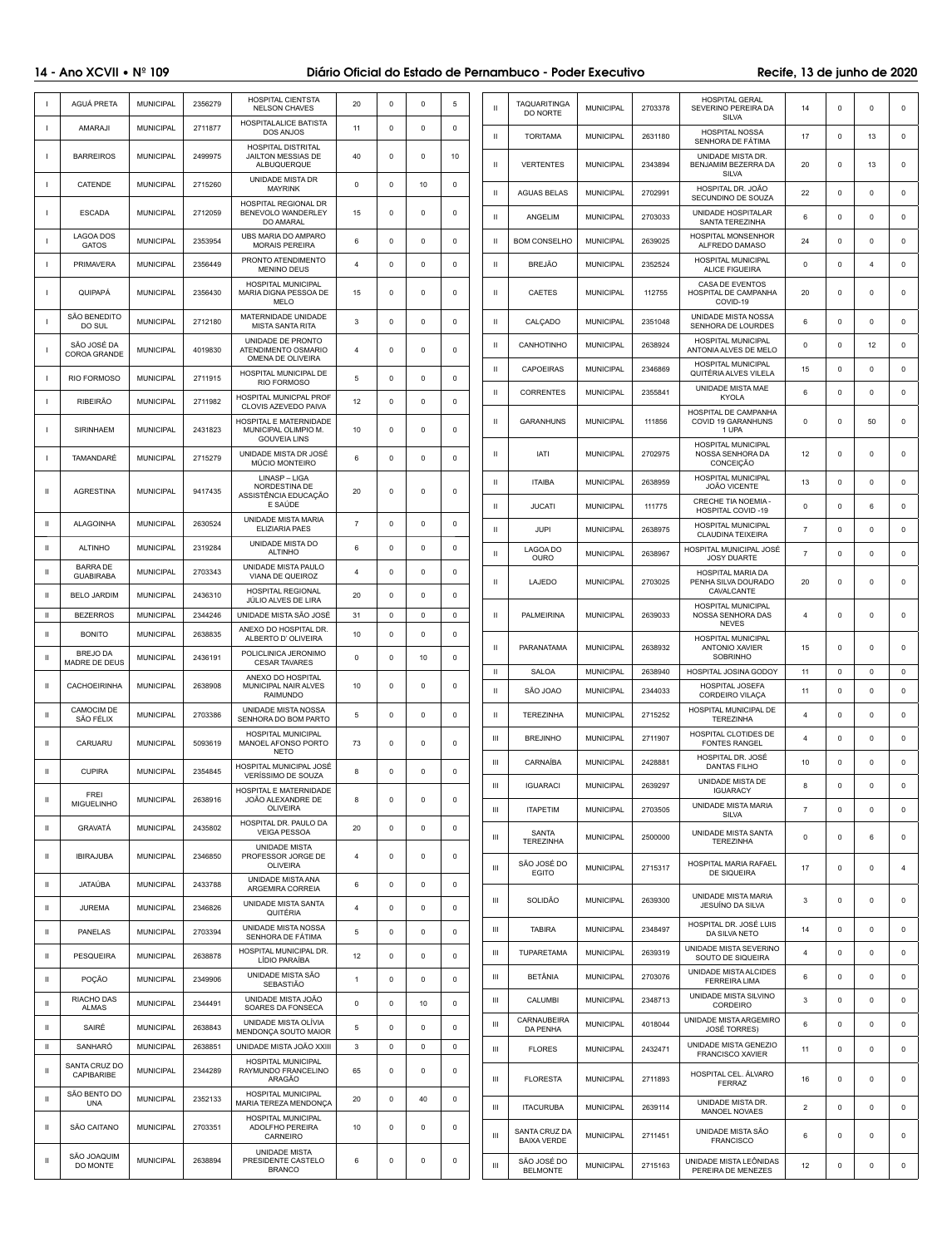# 14 - Ano XCVII • Nº 109 **Diário Oficial do Estado de Pernambuco** - Poder Executivo Recife, 13 de junho de 2020

|              | AGUÁ PRETA                          | <b>MUNICIPAL</b>                     | 2356279            | <b>HOSPITAL CIENTSTA</b><br><b>NELSON CHAVES</b>                       | 20             | $\mathbf 0$      | $\mathbf 0$                | 5                       | $\mathbf{H}$       | <b>TAQUARITINGA</b><br>DO NORTE            | <b>MUNICIPAL</b>                     | 2703378            | <b>HOSPITAL GERAL</b><br>SEVERINO PEREIRA DA<br><b>SILVA</b>                 | 14             | $\mathbf 0$               | $\Omega$            | $\mathsf 0$      |
|--------------|-------------------------------------|--------------------------------------|--------------------|------------------------------------------------------------------------|----------------|------------------|----------------------------|-------------------------|--------------------|--------------------------------------------|--------------------------------------|--------------------|------------------------------------------------------------------------------|----------------|---------------------------|---------------------|------------------|
|              | AMARAJI                             | <b>MUNICIPAL</b>                     | 2711877            | <b>HOSPITALALICE BATISTA</b><br><b>DOS ANJOS</b>                       | 11             | $\mathbf 0$      | $\mathbf 0$                | $^{\circ}$              | $\mathbf{II}$      | <b>TORITAMA</b>                            | <b>MUNICIPAL</b>                     | 2631180            | <b>HOSPITAL NOSSA</b>                                                        | 17             | $^{\circ}$                | 13                  | 0                |
|              | <b>BARREIROS</b>                    | <b>MUNICIPAL</b>                     | 2499975            | HOSPITAL DISTRITAL<br>JAILTON MESSIAS DE<br>ALBUQUERQUE                | 40             | $\mathbf 0$      | 0                          | 10                      | $\mathbf{II}$      | <b>VERTENTES</b>                           | <b>MUNICIPAL</b>                     | 2343894            | SENHORA DE FÁTIMA<br>UNIDADE MISTA DR.<br>BENJAMIM BEZERRA DA                | 20             | 0                         | 13                  | 0                |
|              | <b>CATENDE</b>                      | <b>MUNICIPAL</b>                     | 2715260            | UNIDADE MISTA DR<br><b>MAYRINK</b>                                     | $\mathbf 0$    | $\mathbf 0$      | 10                         | $\Omega$                | Ш                  | <b>AGUAS BELAS</b>                         | <b>MUNICIPAL</b>                     | 2702991            | <b>SILVA</b><br>HOSPITAL DR. JOÃO                                            | 22             | $^{\circ}$                | 0                   | $\mathbf 0$      |
|              | <b>ESCADA</b>                       | <b>MUNICIPAL</b>                     | 2712059            | <b>HOSPITAL REGIONAL DR</b><br>BENEVOLO WANDERLEY                      | 15             | $\mathbf 0$      | $\mathbf 0$                | $\Omega$                | Ш                  | ANGELIM                                    | <b>MUNICIPAL</b>                     | 2703033            | SECUNDINO DE SOUZA<br>UNIDADE HOSPITALAR                                     | 6              | $^{\circ}$                | $\Omega$            | 0                |
|              | <b>LAGOA DOS</b>                    | <b>MUNICIPAL</b>                     | 2353954            | DO AMARAL<br>UBS MARIA DO AMPARO                                       | 6              | $\mathbf 0$      | $\mathbf 0$                | $\Omega$                | Ш                  | <b>BOM CONSELHO</b>                        | <b>MUNICIPAL</b>                     | 2639025            | SANTA TEREZINHA<br><b>HOSPITAL MONSENHOR</b>                                 | 24             | 0                         | $\mathbf 0$         | 0                |
|              | <b>GATOS</b><br><b>PRIMAVERA</b>    | <b>MUNICIPAL</b>                     | 2356449            | <b>MORAIS PEREIRA</b><br>PRONTO ATENDIMENTO                            | $\overline{4}$ | $^{\circ}$       | $\mathbf 0$                | $\Omega$                | Ш                  | BREJÃO                                     | <b>MUNICIPAL</b>                     | 2352524            | ALFREDO DAMASO<br><b>HOSPITAL MUNICIPAL</b>                                  | 0              | $^{\circ}$                | $\overline{4}$      | 0                |
|              | <b>QUIPAPÁ</b>                      | <b>MUNICIPAL</b>                     | 2356430            | <b>MENINO DEUS</b><br>HOSPITAL MUNICIPAL<br>MARIA DIGNA PESSOA DE      | 15             | $\mathbf 0$      | $\mathbf 0$                | $\Omega$                | $\mathbf{II}$      | <b>CAETES</b>                              | <b>MUNICIPAL</b>                     | 112755             | <b>ALICE FIGUEIRA</b><br>CASA DE EVENTOS<br>HOSPITAL DE CAMPANHA<br>COVID-19 | 20             | 0                         | 0                   | 0                |
|              | SÃO BENEDITO<br>DO SUL              | <b>MUNICIPAL</b>                     | 2712180            | <b>MELO</b><br>MATERNIDADE UNIDADE<br><b>MISTA SANTA RITA</b>          | 3              | $\Omega$         | 0                          | $\Omega$                | Ш                  | CALÇADO                                    | <b>MUNICIPAL</b>                     | 2351048            | UNIDADE MISTA NOSSA<br>SENHORA DE LOURDES                                    | 6              | $\Omega$                  | $\Omega$            | 0                |
|              | SÃO JOSÉ DA<br><b>COROA GRANDE</b>  | <b>MUNICIPAL</b>                     | 4019830            | UNIDADE DE PRONTO<br>ATENDIMENTO OSMARIO                               | $\overline{4}$ | $\Omega$         | 0                          | $\Omega$                | $\mathbf{II}$      | CANHOTINHO                                 | <b>MUNICIPAL</b>                     | 2638924            | <b>HOSPITAL MUNICIPAL</b><br>ANTONIA ALVES DE MELO                           | 0              | $^{\circ}$                | 12                  | 0                |
|              | <b>RIO FORMOSO</b>                  | <b>MUNICIPAL</b>                     | 2711915            | OMENA DE OLIVEIRA<br>HOSPITAL MUNICIPAL DE                             | 5              | $\mathbf 0$      | $\mathbf 0$                | $\Omega$                | Ш                  | <b>CAPOEIRAS</b>                           | <b>MUNICIPAL</b>                     | 2346869            | <b>HOSPITAL MUNICIPAL</b><br>QUITÉRIA ALVES VILELA                           | 15             | $^{\circ}$                | $\Omega$            | 0                |
|              | <b>RIBEIRÃO</b>                     | <b>MUNICIPAL</b>                     | 2711982            | RIO FORMOSO<br><b>HOSPITAL MUNICPAL PROF</b>                           | 12             | $\Omega$         | $^{\circ}$                 | $\Omega$                | Ш                  | <b>CORRENTES</b>                           | <b>MUNICIPAL</b>                     | 2355841            | UNIDADE MISTA MAE<br><b>KYOLA</b>                                            | 6              | $\Omega$                  | $\Omega$            | $\mathbf 0$      |
|              | <b>SIRINHAEM</b>                    | <b>MUNICIPAL</b>                     | 2431823            | CLOVIS AZEVEDO PAIVA<br>HOSPITAL E MATERNIDADE<br>MUNICIPAL OLIMPIO M. | 10             | $\mathbf 0$      | $\mathbf 0$                | $\Omega$                | Ш                  | <b>GARANHUNS</b>                           | <b>MUNICIPAL</b>                     | 111856             | HOSPITAL DE CAMPANHA<br>COVID 19 GARANHUNS<br>1 UPA                          | $\mathbf 0$    | $^{\circ}$                | 50                  | $\mathsf 0$      |
|              | TAMANDARÉ                           | <b>MUNICIPAL</b>                     | 2715279            | <b>GOUVEIA LINS</b><br>UNIDADE MISTA DR JOSÉ<br><b>MÚCIO MONTEIRO</b>  | 6              | $\mathbf 0$      | $\mathbf 0$                | $\Omega$                | Ш                  | <b>IATI</b>                                | <b>MUNICIPAL</b>                     | 2702975            | <b>HOSPITAL MUNICIPAL</b><br>NOSSA SENHORA DA<br>CONCEIÇÃO                   | 12             | 0                         | $\Omega$            | $\mathsf 0$      |
|              |                                     |                                      |                    | LINASP-LIGA<br>NORDESTINA DE                                           |                |                  |                            |                         | Ш                  | <b>ITAIBA</b>                              | <b>MUNICIPAL</b>                     | 2638959            | <b>HOSPITAL MUNICIPAL</b><br>JOÃO VICENTE                                    | 13             | 0                         | $\Omega$            | 0                |
| $\mathbf{H}$ | <b>AGRESTINA</b>                    | <b>MUNICIPAL</b>                     | 9417435            | ASSISTÊNCIA EDUCAÇÃO<br>E SAÚDE                                        | 20             | $\mathbf 0$      | $\mathbf 0$                | $\Omega$                | Ш                  | <b>JUCATI</b>                              | <b>MUNICIPAL</b>                     | 111775             | <b>CRECHE TIA NOEMIA -</b><br><b>HOSPITAL COVID-19</b>                       | 0              | $^{\circ}$                | 6                   | $\mathbf 0$      |
| -11          | <b>ALAGOINHA</b>                    | <b>MUNICIPAL</b>                     | 2630524            | UNIDADE MISTA MARIA<br><b>ELIZIARIA PAES</b>                           | $\overline{7}$ | $\Omega$         | $^{\circ}$                 | $\Omega$                | Ш                  | <b>JUPI</b>                                | <b>MUNICIPAL</b>                     | 2638975            | <b>HOSPITAL MUNICIPAL</b><br><b>CLAUDINA TEIXEIRA</b>                        | $\overline{7}$ | $^{\circ}$                | $\Omega$            | 0                |
| Ш            | <b>ALTINHO</b>                      | <b>MUNICIPAL</b>                     | 2319284            | UNIDADE MISTA DO<br><b>ALTINHO</b>                                     | 6              | 0                | 0                          | $\Omega$                | Ш                  | LAGOA DO<br><b>OURO</b>                    | <b>MUNICIPAL</b>                     | 2638967            | HOSPITAL MUNICIPAL JOSÉ<br><b>JOSY DUARTE</b>                                | $\overline{7}$ | $\overline{0}$            | $\Omega$            | 0                |
| $\mathbf{H}$ | <b>BARRA DE</b><br><b>GUABIRABA</b> | <b>MUNICIPAL</b>                     | 2703343            | UNIDADE MISTA PAULO<br>VIANA DE QUEIROZ                                | 4              | $\mathbf 0$      | $\mathbf 0$                | $\Omega$                | Ш                  | LAJEDO                                     | <b>MUNICIPAL</b>                     | 2703025            | HOSPITAL MARIA DA<br>PENHA SILVA DOURADO                                     | 20             | 0                         | $\Omega$            | 0                |
| -11          | <b>BELO JARDIM</b>                  | <b>MUNICIPAL</b>                     | 2436310            | <b>HOSPITAL REGIONAL</b><br>JÚLIO ALVES DE LIRA                        | 20             | $^{\circ}$       | $^{\circ}$                 | 0                       |                    |                                            |                                      |                    | CAVALCANTE<br><b>HOSPITAL MUNICIPAL</b>                                      |                |                           |                     |                  |
| Ш.<br>Ш      | <b>BEZERROS</b><br><b>BONITO</b>    | <b>MUNICIPAL</b><br><b>MUNICIPAL</b> | 2344246<br>2638835 | UNIDADE MISTA SÃO JOSÉ<br>ANEXO DO HOSPITAL DR                         | 31<br>10       | $\mathbf 0$<br>0 | $\mathbf 0$<br>$\mathbf 0$ | $\mathbf 0$<br>$\Omega$ | Ш                  | <b>PALMEIRINA</b>                          | <b>MUNICIPAL</b>                     | 2639033            | NOSSA SENHORA DAS<br>NEVES                                                   | 4              | $^{\circ}$                | $\Omega$            | $\mathbf 0$      |
| Ш            | <b>BREJO DA</b><br>MADRE DE DEUS    | <b>MUNICIPAL</b>                     | 2436191            | ALBERTO D'OLIVEIRA<br>POLICLINICA JERONIMO<br><b>CESAR TAVARES</b>     | $\mathbf 0$    | $\mathbf 0$      | 10                         | $\Omega$                | $\mathbf{II}$      | PARANATAMA                                 | <b>MUNICIPAL</b>                     | 2638932            | <b>HOSPITAL MUNICIPAL</b><br><b>ANTONIO XAVIER</b><br><b>SOBRINHO</b>        | 15             | $\mathbf 0$               | $\Omega$            | $\mathsf 0$      |
| Ш            | <b>CACHOEIRINHA</b>                 | <b>MUNICIPAL</b>                     | 2638908            | ANEXO DO HOSPITAL<br><b>MUNICIPAL NAIR ALVES</b>                       | 10             | $\mathbf 0$      | $\mathbf 0$                | $\Omega$                | $\mathbf{II}$      | <b>SALOA</b>                               | <b>MUNICIPAL</b>                     | 2638940            | <b>HOSPITAL JOSINA GODOY</b><br>HOSPITAL JOSEFA                              | 11             | $\mathsf{O}$              | $\mathbf 0$         | $\mathbf 0$      |
|              | <b>CAMOCIM DE</b>                   | <b>MUNICIPAL</b>                     | 2703386            | <b>RAIMUNDO</b><br>UNIDADE MISTA NOSSA                                 | 5              |                  | $\mathbf{0}$               | $\Omega$                | $\mathbf{H}$       | SÃO JOAO                                   | <b>MUNICIPAL</b><br><b>MUNICIPAL</b> | 2344033            | CORDEIRO VILAÇA<br>HOSPITAL MUNICIPAL DE                                     | 11<br>4        | $\mathbf 0$               | $\Omega$            | 0<br>$\mathbf 0$ |
| $\mathbf{H}$ | SÃO FÉLIX                           |                                      |                    | SENHORA DO BOM PARTO<br><b>HOSPITAL MUNICIPAL</b>                      |                | $\mathbf 0$      |                            |                         | $\mathbf{II}$<br>Ш | <b>TEREZINHA</b><br><b>BREJINHO</b>        | <b>MUNICIPAL</b>                     | 2715252<br>2711907 | <b>TEREZINHA</b><br>HOSPITAL CLOTIDES DE                                     | 4              | $^{\circ}$<br>$\mathbf 0$ | 0<br>$\Omega$       | 0                |
| $\mathbf{H}$ | CARUARU                             | <b>MUNICIPAL</b>                     | 5093619            | MANOEL AFONSO PORTO<br><b>NETO</b>                                     | 73             | $\mathbf 0$      | $\mathbf 0$                | $^{\circ}$              | Ш                  | CARNAÍBA                                   | <b>MUNICIPAL</b>                     | 2428881            | <b>FONTES RANGEL</b><br>HOSPITAL DR. JOSÉ                                    | 10             | $\mathbf 0$               | $\Omega$            | 0                |
| $\mathbf{H}$ | <b>CUPIRA</b>                       | <b>MUNICIPAL</b>                     | 2354845            | HOSPITAL MUNICIPAL JOSÉ<br>VERÍSSIMO DE SOUZA                          | 8              | $\mathbf 0$      | $\mathbf 0$                | $^{\circ}$              | Ш                  | <b>IGUARACI</b>                            | <b>MUNICIPAL</b>                     | 2639297            | <b>DANTAS FILHO</b><br>UNIDADE MISTA DE                                      | 8              | $^{\circ}$                | 0                   | 0                |
| Ш            | <b>FREI</b><br><b>MIGUELINHO</b>    | <b>MUNICIPAL</b>                     | 2638916            | HOSPITAL E MATERNIDADE<br>JOÃO ALEXANDRE DE<br><b>OLIVEIRA</b>         | 8              | 0                | $\mathbf 0$                | $^{\circ}$              | Ш                  | <b>ITAPETIM</b>                            | <b>MUNICIPAL</b>                     | 2703505            | <b>IGUARACY</b><br>UNIDADE MISTA MARIA                                       | $\overline{7}$ | $\mathbf 0$               | $\mathbf 0$         | $\mathsf 0$      |
| $\mathbf{H}$ | GRAVATÁ                             | <b>MUNICIPAL</b>                     | 2435802            | HOSPITAL DR. PAULO DA<br><b>VEIGA PESSOA</b>                           | 20             | $\mathbf 0$      | $\mathbf 0$                | $\Omega$                | Ш                  | <b>SANTA</b>                               | <b>MUNICIPAL</b>                     | 2500000            | <b>SILVA</b><br>UNIDADE MISTA SANTA                                          | $\Omega$       | $^{\circ}$                | 6                   | $\mathsf 0$      |
| $\mathbf{H}$ | <b>IBIRAJUBA</b>                    | <b>MUNICIPAL</b>                     | 2346850            | <b>UNIDADE MISTA</b><br>PROFESSOR JORGE DE                             | $\overline{4}$ | $\mathbf 0$      | $\mathbf 0$                | $\Omega$                |                    | <b>TEREZINHA</b><br>SÃO JOSÉ DO            |                                      |                    | <b>TEREZINHA</b><br><b>HOSPITAL MARIA RAFAEL</b>                             |                |                           |                     |                  |
| $\mathbf{H}$ | JATAÚBA                             | <b>MUNICIPAL</b>                     | 2433788            | <b>OLIVEIRA</b><br>UNIDADE MISTA ANA<br>ARGEMIRA CORREIA               | 6              | $\mathbf 0$      | $\mathbf 0$                | $\Omega$                | Ш                  | <b>EGITO</b>                               | <b>MUNICIPAL</b>                     | 2715317            | <b>DE SIQUEIRA</b>                                                           | 17             | $\mathbf 0$               | $\mathbf 0$         | 4                |
| H.           | <b>JUREMA</b>                       | <b>MUNICIPAL</b>                     | 2346826            | UNIDADE MISTA SANTA<br>QUITÉRIA                                        | $\overline{4}$ | $\mathbf 0$      | $\mathbf 0$                | $\Omega$                | Ш                  | SOLIDÃO                                    | <b>MUNICIPAL</b>                     | 2639300            | UNIDADE MISTA MARIA<br>JESUÍNO DA SILVA                                      | 3              | $\mathbf 0$               | $\mathbf 0$         | $\mathsf 0$      |
| $\mathbf{H}$ | <b>PANELAS</b>                      | <b>MUNICIPAL</b>                     | 2703394            | UNIDADE MISTA NOSSA<br>SENHORA DE FÁTIMA                               | 5              | $\mathbf 0$      | $\mathbf 0$                | $\Omega$                | Ш                  | <b>TABIRA</b>                              | <b>MUNICIPAL</b>                     | 2348497            | HOSPITAL DR. JOSÉ LUIS<br>DA SILVA NETO                                      | 14             | $\mathbf 0$               | 0                   | 0                |
| $\mathbf{H}$ | <b>PESQUEIRA</b>                    | <b>MUNICIPAL</b>                     | 2638878            | HOSPITAL MUNICIPAL DR.<br>LÍDIO PARAÍBA                                | 12             | $\mathbf 0$      | $\mathbf 0$                | $\Omega$                | Ш                  | <b>TUPARETAMA</b>                          | <b>MUNICIPAL</b>                     | 2639319            | UNIDADE MISTA SEVERINO<br>SOUTO DE SIQUEIRA                                  | 4              | $\mathbf 0$               | $\mathbf 0$         | $\mathbf 0$      |
| Ш            | POÇÃO                               | <b>MUNICIPAL</b>                     | 2349906            | UNIDADE MISTA SÃO<br><b>SEBASTIÃO</b>                                  | $\overline{1}$ | $\mathbf 0$      | $\mathbf 0$                | $\Omega$                | Ш                  | <b>BETÂNIA</b>                             | <b>MUNICIPAL</b>                     | 2703076            | UNIDADE MISTA ALCIDES<br><b>FERREIRA LIMA</b>                                | 6              | $^{\circ}$                | 0                   | $\mathbf 0$      |
| $\mathbf{H}$ | <b>RIACHO DAS</b><br><b>ALMAS</b>   | <b>MUNICIPAL</b>                     | 2344491            | UNIDADE MISTA JOÃO<br>SOARES DA FONSECA                                | $\mathbf 0$    | $\mathbf 0$      | 10                         | $\Omega$                | Ш                  | CALUMBI                                    | <b>MUNICIPAL</b>                     | 2348713            | UNIDADE MISTA SILVINO<br>CORDEIRO                                            | 3              | $^{\circ}$                | $\mathbf 0$         | 0                |
| H.           | SAIRÉ                               | <b>MUNICIPAL</b>                     | 2638843            | UNIDADE MISTA OLÍVIA<br>MENDONÇA SOUTO MAIOR                           | 5              | $\mathbf 0$      | $\mathbf 0$                | $\Omega$                | Ш                  | CARNAUBEIRA<br><b>DA PENHA</b>             | <b>MUNICIPAL</b>                     | 4018044            | UNIDADE MISTA ARGEMIRO<br><b>JOSÉ TORRES)</b>                                | 6              | $\mathbf 0$               | $\Omega$            | 0                |
| Ш            | SANHARÓ                             | <b>MUNICIPAL</b>                     | 2638851            | UNIDADE MISTA JOÃO XXIII                                               | 3              | $\mathbf 0$      | $\mathsf{O}$               | $\mathbf 0$             | Ш                  | <b>FLORES</b>                              | <b>MUNICIPAL</b>                     | 2432471            | UNIDADE MISTA GENEZIO<br><b>FRANCISCO XAVIER</b>                             | 11             | $^{\circ}$                | $\Omega$            | 0                |
| $\mathbf{H}$ | SANTA CRUZ DO<br>CAPIBARIBE         | <b>MUNICIPAL</b>                     | 2344289            | <b>HOSPITAL MUNICIPAL</b><br>RAYMUNDO FRANCELINO<br><b>ARAGÃO</b>      | 65             | $\mathbf 0$      | $\mathbf 0$                | $\Omega$                | Ш                  | <b>FLORESTA</b>                            | <b>MUNICIPAL</b>                     | 2711893            | HOSPITAL CEL. ÁLVARO<br><b>FERRAZ</b>                                        | 16             | $\mathbf 0$               | $\Omega$            | 0                |
| $\mathbf{H}$ | SÃO BENTO DO<br><b>UNA</b>          | <b>MUNICIPAL</b>                     | 2352133            | <b>HOSPITAL MUNICIPAL</b><br>MARIA TEREZA MENDONCA                     | 20             | $\mathbf 0$      | 40                         | $\Omega$                | Ш                  | <b>ITACURUBA</b>                           | <b>MUNICIPAL</b>                     | 2639114            | UNIDADE MISTA DR.<br><b>MANOEL NOVAES</b>                                    | $\overline{2}$ | $^{\circ}$                | $\Omega$            | 0                |
| Ш            | SÃO CAITANO                         | <b>MUNICIPAL</b>                     | 2703351            | <b>HOSPITAL MUNICIPAL</b><br>ADOLFHO PEREIRA<br>CARNEIRO               | 10             | $\mathbf 0$      | $\mathbf 0$                | $\Omega$                | Ш                  | <b>SANTA CRUZ DA</b><br><b>BAIXA VERDE</b> | <b>MUNICIPAL</b>                     | 2711451            | UNIDADE MISTA SÃO<br><b>FRANCISCO</b>                                        | 6              | $^{\circ}$                | $\Omega$            | 0                |
| Ш            | SÃO JOAQUIM<br>DO MONTE             | <b>MUNICIPAL</b>                     | 2638894            | <b>UNIDADE MISTA</b><br>PRESIDENTE CASTELO<br><b>BRANCO</b>            | 6              | $\Omega$         | $\Omega$                   | $\Omega$                | Ш                  | SÃO JOSÉ DO<br><b>BELMONTE</b>             | <b>MUNICIPAL</b>                     | 2715163            | UNIDADE MISTA LEÔNIDAS<br>PEREIRA DE MENEZES                                 | 12             | $\mathsf 0$               | $\mathsf{O}\xspace$ | $\mathsf 0$      |